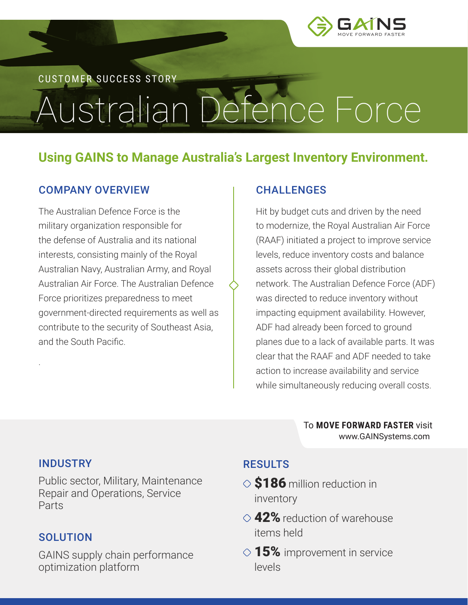

CUSTOMER SUCCESS STORY

# Australian Defence Force

## **Using GAINS to Manage Australia's Largest Inventory Environment.**

#### COMPANY OVERVIEW

The Australian Defence Force is the military organization responsible for the defense of Australia and its national interests, consisting mainly of the Royal Australian Navy, Australian Army, and Royal Australian Air Force. The Australian Defence Force prioritizes preparedness to meet government-directed requirements as well as contribute to the security of Southeast Asia, and the South Pacific.

#### **CHALLENGES**

Hit by budget cuts and driven by the need to modernize, the Royal Australian Air Force (RAAF) initiated a project to improve service levels, reduce inventory costs and balance assets across their global distribution network. The Australian Defence Force (ADF) was directed to reduce inventory without impacting equipment availability. However, ADF had already been forced to ground planes due to a lack of available parts. It was clear that the RAAF and ADF needed to take action to increase availability and service while simultaneously reducing overall costs.

> To **MOVE FORWARD FASTER** visit [www.GAINSystems.com](https://gainsystems.com)

#### INDUSTRY

.

Public sector, Military, Maintenance Repair and Operations, Service Parts

#### **SOLUTION**

GAINS supply chain performance optimization platform

### RESULTS

- $\Diamond$  \$186 million reduction in inventory
- $\Diamond$  42% reduction of warehouse items held
- $\Diamond$  15% improvement in service levels